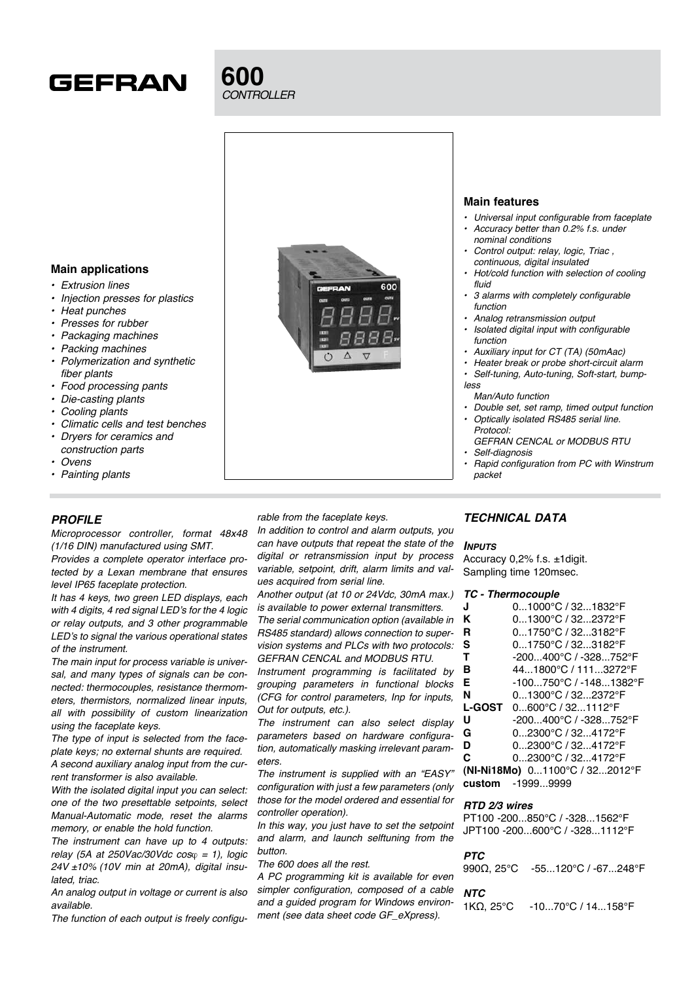

# **600** *CONTROLLER*

## **Main features** • Universal input configurable from faceplate • Accuracy better than 0.2% f.s. under nominal conditions Control output: relay, logic, Triac, continuous, digital insulated Hot/cold function with selection of cooling fluid  $\epsilon$ nn 3 alarms with completely configurable function

- Analog retransmission output
- Isolated digital input with configurable function
- Auxiliary input for CT (TA) (50mAac)
- • Heater break or probe short-circuit alarm Self-tuning, Auto-tuning, Soft-start, bump-
- less
- Man/Auto function
- • Double set, set ramp, timed output function Optically isolated RS485 serial line. Protocol:
- GEFRAN CENCAL or MODBUS RTU Self-diagnosis
- packet

## **Main applications**

- **Extrusion lines**
- Injection presses for plastics
- **Heat punches**
- Presses for rubber
- **Packaging machines**
- Packing machines
- Polymerization and synthetic fiber plants
- Food processing pants
- Die-casting plants
- Cooling plants
- Climatic cells and test benches
- Dryers for ceramics and construction parts
- **Ovens**
- Painting plants

## *PROFILE*

Microprocessor controller, format 48x48 (1/16 DIN) manufactured using SMT. Provides a complete operator interface pro-

tected by a Lexan membrane that ensures level IP65 faceplate protection.

It has 4 keys, two green LED displays, each with 4 digits, 4 red signal LED's for the 4 logic or relay outputs, and 3 other programmable LED's to signal the various operational states of the instrument.

The main input for process variable is universal, and many types of signals can be connected: thermocouples, resistance thermometers, thermistors, normalized linear inputs, all with possibility of custom linearization using the faceplate keys.

The type of input is selected from the faceplate keys; no external shunts are required. A second auxiliary analog input from the current transformer is also available.

With the isolated digital input you can select: one of the two presettable setpoints, select Manual-Automatic mode, reset the alarms memory, or enable the hold function.

The instrument can have up to 4 outputs: relay (5A at 250Vac/30Vdc  $cos\varphi = 1$ ), logic  $24V \pm 10\%$  (10V min at 20mA), digital insulated, triac.

An analog output in voltage or current is also available.

The function of each output is freely configu-

rable from the faceplate keys.

In addition to control and alarm outputs, you can have outputs that repeat the state of the digital or retransmission input by process variable, setpoint, drift, alarm limits and values acquired from serial line.

Another output (at 10 or 24Vdc, 30mA max.) is available to power external transmitters. The serial communication option (available in RS485 standard) allows connection to supervision systems and PLCs with two protocols: GEFRAN CENCAL and MODBUS RTU.

Instrument programming is facilitated by grouping parameters in functional blocks (CFG for control parameters, Inp for inputs, Out for outputs, etc.).

The instrument can also select display parameters based on hardware configuration, automatically masking irrelevant parameters.

The instrument is supplied with an "EASY" configuration with just a few parameters (only those for the model ordered and essential for controller operation).

In this way, you just have to set the setpoint and alarm, and launch selftuning from the button.

The 600 does all the rest.

A PC programming kit is available for even simpler configuration, composed of a cable and a guided program for Windows environment (see data sheet code GF\_eXpress).

## *TECHNICAL DATA*

#### *Inputs*

Accuracy 0,2% f.s. ±1digit. Sampling time 120msec.

#### *TC - Thermocouple*

| J                                                                                                                                                                                                                                                                                                                                                                                    | $01000^{\circ}$ C / 32 $1832^{\circ}$ F    |
|--------------------------------------------------------------------------------------------------------------------------------------------------------------------------------------------------------------------------------------------------------------------------------------------------------------------------------------------------------------------------------------|--------------------------------------------|
| Κ                                                                                                                                                                                                                                                                                                                                                                                    | $01300^{\circ}$ C / 32 $2372^{\circ}$ F    |
| R                                                                                                                                                                                                                                                                                                                                                                                    | $01750^{\circ}$ C / 323182 $^{\circ}$ F    |
| s                                                                                                                                                                                                                                                                                                                                                                                    | $01750^{\circ}$ C / 323182 $^{\circ}$ F    |
| т                                                                                                                                                                                                                                                                                                                                                                                    | -200400°C / -328752°F                      |
| в                                                                                                                                                                                                                                                                                                                                                                                    | 44.1800°C / 111.3272°F                     |
| Е                                                                                                                                                                                                                                                                                                                                                                                    | -100750°C / -1481382°F                     |
| N                                                                                                                                                                                                                                                                                                                                                                                    | $0.1300^{\circ}$ C / 322372 $^{\circ}$ F   |
|                                                                                                                                                                                                                                                                                                                                                                                      | <b>L-GOST</b> $0.600^{\circ}$ C / 321112°F |
| U                                                                                                                                                                                                                                                                                                                                                                                    | -200400°C / -328752°F                      |
| G                                                                                                                                                                                                                                                                                                                                                                                    | $02300$ °C / 324172°F                      |
| D                                                                                                                                                                                                                                                                                                                                                                                    | $02300$ °C / 324172°F                      |
| С                                                                                                                                                                                                                                                                                                                                                                                    | $02300^{\circ}$ C / 32 $4172^{\circ}$ F    |
| $\overline{1}$ $\overline{2}$ $\overline{3}$ $\overline{4}$ $\overline{2}$ $\overline{2}$ $\overline{2}$ $\overline{2}$ $\overline{2}$ $\overline{2}$ $\overline{2}$ $\overline{2}$ $\overline{2}$ $\overline{2}$ $\overline{2}$ $\overline{2}$ $\overline{2}$ $\overline{2}$ $\overline{2}$ $\overline{2}$ $\overline{2}$ $\overline{2}$ $\overline{2}$ $\overline{2}$ $\overline{$ |                                            |

**(NI-Ni18Mo)** 0...1100°C / 32...2012°F **custom** -1999...9999

#### *RTD 2/3 wires*

PT100 -200...850°C / -328...1562°F JPT100 -200...600°C / -328...1112°F

#### *PTC*

990Ω, 25°C -55...120°C / -67...248°F

#### *NTC*

1KΩ, 25°C -10...70°C / 14...158°F

- - Rapid configuration from PC with Winstrum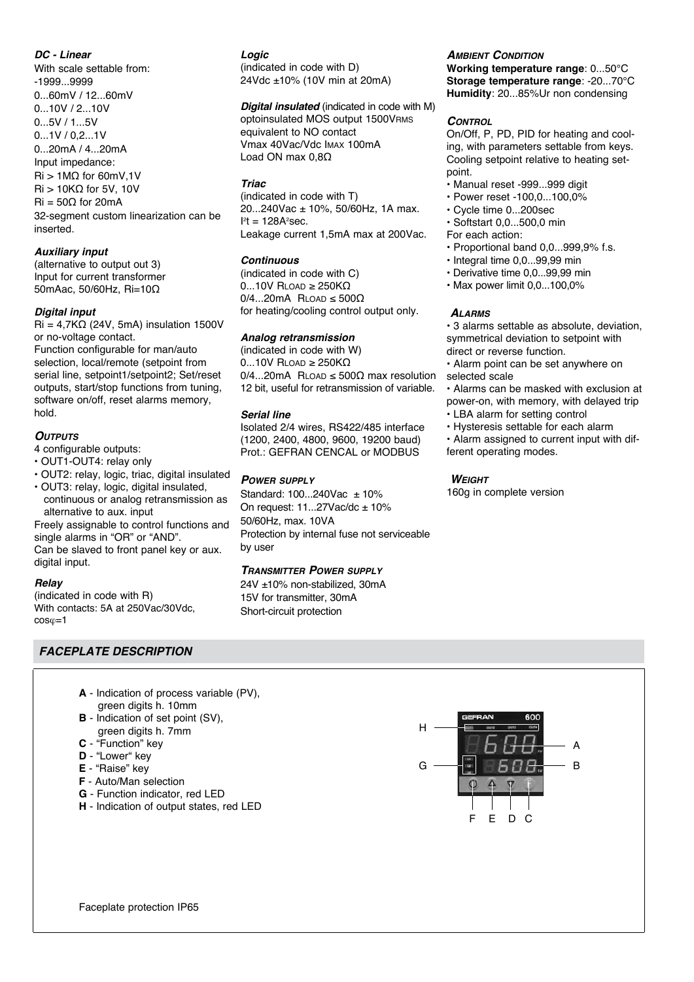### *DC - Linear*

With scale settable from: -1999...9999 0...60mV / 12...60mV 0...10V / 2...10V 0...5V / 1...5V 0...1V / 0,2...1V 0...20mA / 4...20mA Input impedance: Ri > 1MΩ for 60mV,1V Ri > 10KΩ for 5V, 10V  $\text{Ri} = 50\Omega$  for 20mA 32-segment custom linearization can be inserted.

## *Auxiliary input*

(alternative to output out 3) Input for current transformer 50mAac, 50/60Hz, Ri=10Ω

#### *Digital input*

 $\text{Ri} = 4.7\text{K}\Omega$  (24V, 5mA) insulation 1500V or no-voltage contact.

Function configurable for man/auto selection, local/remote (setpoint from serial line, setpoint1/setpoint2; Set/reset outputs, start/stop functions from tuning, software on/off, reset alarms memory, hold.

#### *Outputs*

4 configurable outputs:

- OUT1-OUT4: relay only
- OUT2: relay, logic, triac, digital insulated
- OUT3: relay, logic, digital insulated, continuous or analog retransmission as alternative to aux. input

Freely assignable to control functions and single alarms in "OR" or "AND". Can be slaved to front panel key or aux.

digital input.

#### *Relay*

(indicated in code with R) With contacts: 5A at 250Vac/30Vdc,  $cos\varphi=1$ 

## *FACEPLATE DESCRIPTION*

- **A** Indication of process variable (PV), green digits h. 10mm
- **B** Indication of set point (SV), green digits h. 7mm
- **C** "Function" key
- **D** "Lower" key
- **E** "Raise" key
- **F** Auto/Man selection
- **G** Function indicator, red LED
- **H** Indication of output states, red LED

## *Logic*

(indicated in code with D) 24Vdc ±10% (10V min at 20mA)

#### *Digital insulated* (indicated in code with M)

optoinsulated MOS output 1500VRMS equivalent to NO contact Vmax 40Vac/Vdc Imax 100mA Load ON max 0,8Ω

### *Triac*

(indicated in code with T) 20...240Vac ± 10%, 50/60Hz, 1A max.  $l^2t = 128A^2$ sec. Leakage current 1,5mA max at 200Vac.

#### *Continuous*

(indicated in code with C)  $0...10V$  RLOAD ≥ 250K $\Omega$  $0/4...20$ mA RLOAD  $\leq 500\Omega$ for heating/cooling control output only.

#### *Analog retransmission*

(indicated in code with W) 0...10V Rload ≥ 250KΩ  $0/4...20$ mA RLOAD ≤ 500 $\Omega$  max resolution 12 bit, useful for retransmission of variable.

#### *Serial line*

Isolated 2/4 wires, RS422/485 interface (1200, 2400, 4800, 9600, 19200 baud) Prot.: GEFRAN CENCAL or MODBUS

#### *Power supply*

Standard: 100...240Vac ± 10% On request:  $11...27$ Vac/dc  $\pm 10$ % 50/60Hz, max. 10VA Protection by internal fuse not serviceable

24V ±10% non-stabilized, 30mA 15V for transmitter, 30mA Short-circuit protection

#### *Ambient Condition*

**Working temperature range**: 0...50°C **Storage temperature range**: -20...70°C **Humidity**: 20...85%Ur non condensing

#### *Control*

On/Off, P, PD, PID for heating and cooling, with parameters settable from keys. Cooling setpoint relative to heating setpoint.

- Manual reset -999...999 digit
- Power reset -100,0...100,0%
- Cycle time 0...200sec
- Softstart 0,0...500,0 min
- For each action:
- Proportional band 0,0...999,9% f.s.
- Integral time 0,0...99,99 min
- Derivative time 0,0...99,99 min
- Max power limit 0,0...100,0%

#### *Alarms*

• 3 alarms settable as absolute, deviation, symmetrical deviation to setpoint with direct or reverse function.

• Alarm point can be set anywhere on selected scale

• Alarms can be masked with exclusion at power-on, with memory, with delayed trip

- LBA alarm for setting control
- Hysteresis settable for each alarm

• Alarm assigned to current input with different operating modes.

#### *Weight*

160g in complete version



by user

## *Transmitter Power supply*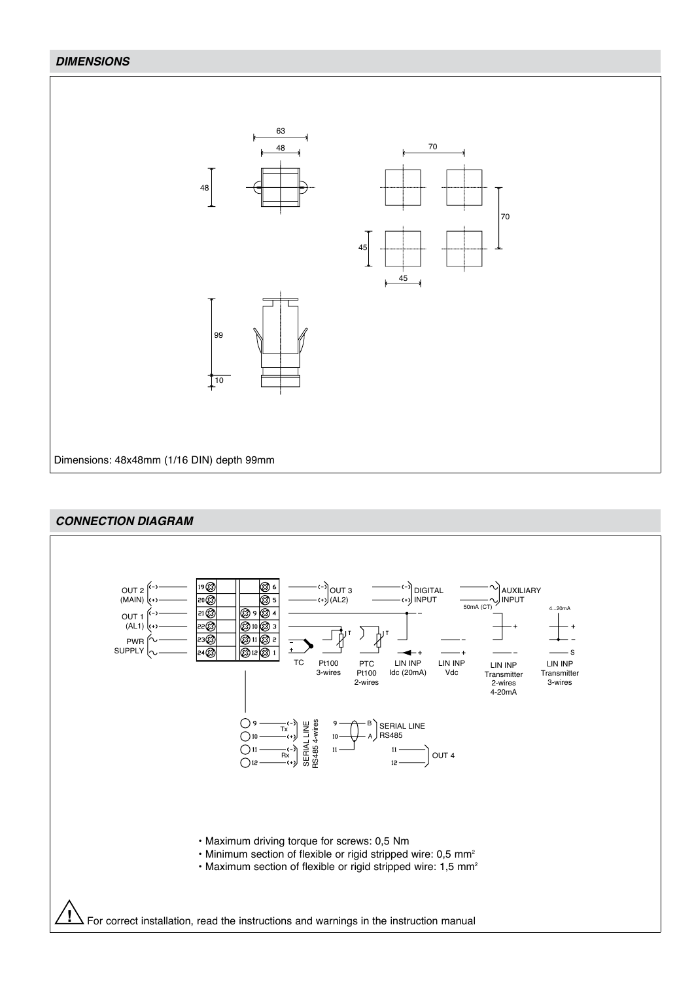## *DIMENSIONS*